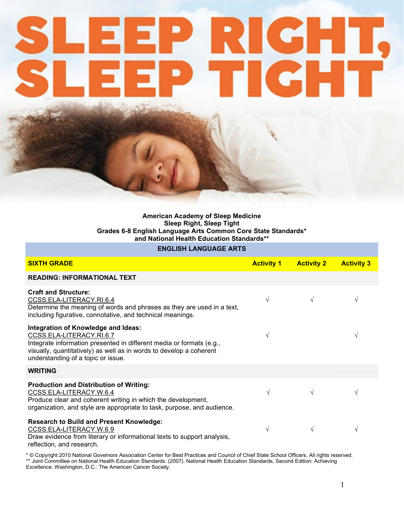# M Maria

### American Academy of Sleep Medicine Sleep Right, Sleep Tight Grades 6-8 English Language Arts Common Core State Standards\* and National Health Education Standards\*\*

## ENGLISH LANGUAGE ARTS

| <b>SIXTH GRADE</b>                                                                                                                                                                                                                                   | <b>Activity 1</b> | <b>Activity 2</b> | <b>Activity 3</b> |
|------------------------------------------------------------------------------------------------------------------------------------------------------------------------------------------------------------------------------------------------------|-------------------|-------------------|-------------------|
| <b>READING: INFORMATIONAL TEXT</b>                                                                                                                                                                                                                   |                   |                   |                   |
| <b>Craft and Structure:</b><br>CCSS.ELA-LITERACY.RI.6.4<br>Determine the meaning of words and phrases as they are used in a text,<br>including figurative, connotative, and technical meanings.                                                      | $\sqrt{}$         | $\sqrt{}$         |                   |
| Integration of Knowledge and Ideas:<br>CCSS.ELA-LITERACY.RI.6.7<br>Integrate information presented in different media or formats (e.g.,<br>visually, quantitatively) as well as in words to develop a coherent<br>understanding of a topic or issue. |                   |                   |                   |
| <b>WRITING</b>                                                                                                                                                                                                                                       |                   |                   |                   |
| <b>Production and Distribution of Writing:</b><br>CCSS.ELA-LITERACY.W.6.4<br>Produce clear and coherent writing in which the development,<br>organization, and style are appropriate to task, purpose, and audience.                                 | V                 | $\sqrt{}$         |                   |
| <b>Research to Build and Present Knowledge:</b><br>CCSS.ELA-LITERACY.W.6.9<br>Draw evidence from literary or informational texts to support analysis,<br>reflection, and research.                                                                   | $\sqrt{}$         | $\sqrt{ }$        |                   |

\* © Copyright 2010 National Governors Association Center for Best Practices and Council of Chief State School Officers. All rights reserved. \*\* Joint Committee on National Health Education Standards. (2007). National Health Education Standards, Second Edition: Achieving Excellence. Washington, D.C.: The American Cancer Society.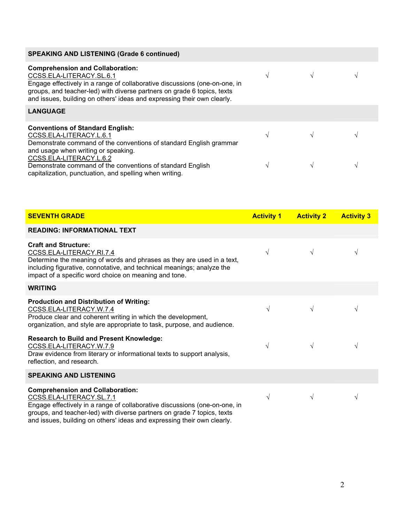| <b>SPEAKING AND LISTENING (Grade 6 continued)</b>                                                                                                                                                                                                                                                       |               |  |
|---------------------------------------------------------------------------------------------------------------------------------------------------------------------------------------------------------------------------------------------------------------------------------------------------------|---------------|--|
| <b>Comprehension and Collaboration:</b><br>CCSS.ELA-LITERACY.SL.6.1<br>Engage effectively in a range of collaborative discussions (one-on-one, in<br>groups, and teacher-led) with diverse partners on grade 6 topics, texts<br>and issues, building on others' ideas and expressing their own clearly. |               |  |
| <b>LANGUAGE</b>                                                                                                                                                                                                                                                                                         |               |  |
| <b>Conventions of Standard English:</b><br>CCSS.ELA-LITERACY.L.6.1<br>Demonstrate command of the conventions of standard English grammar                                                                                                                                                                |               |  |
| and usage when writing or speaking.<br>CCSS.ELA-LITERACY.L.6.2<br>Demonstrate command of the conventions of standard English<br>capitalization, punctuation, and spelling when writing.                                                                                                                 | $\mathcal{N}$ |  |

| <b>SEVENTH GRADE</b>                                                                                                                                                                                                                                                                                    | <b>Activity 1</b> | <b>Activity 2</b> | <b>Activity 3</b> |
|---------------------------------------------------------------------------------------------------------------------------------------------------------------------------------------------------------------------------------------------------------------------------------------------------------|-------------------|-------------------|-------------------|
| <b>READING: INFORMATIONAL TEXT</b>                                                                                                                                                                                                                                                                      |                   |                   |                   |
| <b>Craft and Structure:</b><br>CCSS.ELA-LITERACY.RI.7.4<br>Determine the meaning of words and phrases as they are used in a text,<br>including figurative, connotative, and technical meanings; analyze the<br>impact of a specific word choice on meaning and tone.                                    | V                 | $\sqrt{ }$        | V                 |
| <b>WRITING</b>                                                                                                                                                                                                                                                                                          |                   |                   |                   |
| <b>Production and Distribution of Writing:</b><br>CCSS.ELA-LITERACY.W.7.4<br>Produce clear and coherent writing in which the development,<br>organization, and style are appropriate to task, purpose, and audience.                                                                                    | $\sqrt{ }$        | $\sqrt{ }$        | V                 |
| <b>Research to Build and Present Knowledge:</b><br>CCSS.ELA-LITERACY.W.7.9<br>Draw evidence from literary or informational texts to support analysis,<br>reflection, and research.                                                                                                                      | V                 | $\sqrt{}$         | $\sqrt{}$         |
| <b>SPEAKING AND LISTENING</b>                                                                                                                                                                                                                                                                           |                   |                   |                   |
| <b>Comprehension and Collaboration:</b><br>CCSS.ELA-LITERACY.SL.7.1<br>Engage effectively in a range of collaborative discussions (one-on-one, in<br>groups, and teacher-led) with diverse partners on grade 7 topics, texts<br>and issues, building on others' ideas and expressing their own clearly. | $\sqrt{ }$        | $\sqrt{ }$        | V                 |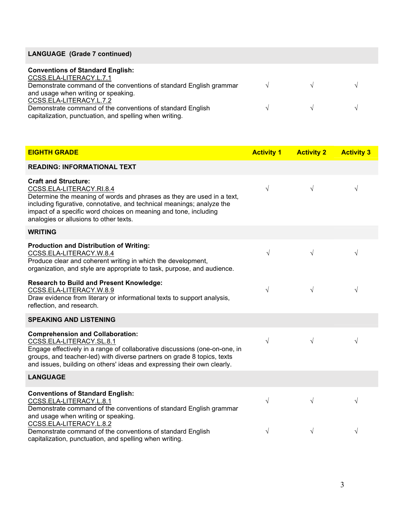# LANGUAGE (Grade 7 continued)

| <b>Conventions of Standard English:</b><br>CCSS.ELA-LITERACY.L.7.1                                                    |               |               |  |
|-----------------------------------------------------------------------------------------------------------------------|---------------|---------------|--|
| Demonstrate command of the conventions of standard English grammar                                                    | $\mathcal{N}$ | $\sim$        |  |
| and usage when writing or speaking.                                                                                   |               |               |  |
| CCSS.ELA-LITERACY.L.7.2                                                                                               |               |               |  |
| Demonstrate command of the conventions of standard English<br>capitalization, punctuation, and spelling when writing. | $\sqrt{ }$    | $\sim$ $\sim$ |  |

| <b>EIGHTH GRADE</b>                                                                                                                                                                                                                                                                                                       | <b>Activity 1</b> | <b>Activity 2</b> | <b>Activity 3</b> |
|---------------------------------------------------------------------------------------------------------------------------------------------------------------------------------------------------------------------------------------------------------------------------------------------------------------------------|-------------------|-------------------|-------------------|
| <b>READING: INFORMATIONAL TEXT</b>                                                                                                                                                                                                                                                                                        |                   |                   |                   |
| <b>Craft and Structure:</b><br>CCSS.ELA-LITERACY.RI.8.4<br>Determine the meaning of words and phrases as they are used in a text,<br>including figurative, connotative, and technical meanings; analyze the<br>impact of a specific word choices on meaning and tone, including<br>analogies or allusions to other texts. | $\sqrt{}$         | $\sqrt{}$         | $\sqrt{}$         |
| <b>WRITING</b>                                                                                                                                                                                                                                                                                                            |                   |                   |                   |
| <b>Production and Distribution of Writing:</b><br>CCSS.ELA-LITERACY.W.8.4<br>Produce clear and coherent writing in which the development,<br>organization, and style are appropriate to task, purpose, and audience.                                                                                                      | $\sqrt{ }$        | $\sqrt{}$         | V                 |
| <b>Research to Build and Present Knowledge:</b><br>CCSS.ELA-LITERACY.W.8.9<br>Draw evidence from literary or informational texts to support analysis,<br>reflection, and research.                                                                                                                                        | $\sqrt{}$         | V                 | $\sqrt{}$         |
| <b>SPEAKING AND LISTENING</b>                                                                                                                                                                                                                                                                                             |                   |                   |                   |
| <b>Comprehension and Collaboration:</b><br>CCSS.ELA-LITERACY.SL.8.1<br>Engage effectively in a range of collaborative discussions (one-on-one, in<br>groups, and teacher-led) with diverse partners on grade 8 topics, texts<br>and issues, building on others' ideas and expressing their own clearly.                   | $\sqrt{}$         | $\sqrt{}$         | V                 |
| <b>LANGUAGE</b>                                                                                                                                                                                                                                                                                                           |                   |                   |                   |
| <b>Conventions of Standard English:</b><br>CCSS.ELA-LITERACY.L.8.1<br>Demonstrate command of the conventions of standard English grammar<br>and usage when writing or speaking.                                                                                                                                           | $\sqrt{}$         | $\sqrt{}$         | V                 |
| CCSS.ELA-LITERACY.L.8.2<br>Demonstrate command of the conventions of standard English<br>capitalization, punctuation, and spelling when writing.                                                                                                                                                                          | $\sqrt{}$         | V                 | V                 |